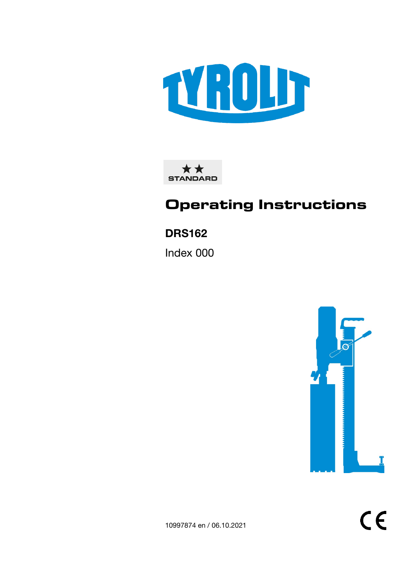

\*\* **STANDARD** 

# **Operating Instructions**

## DRS162

Index 000



 $C\epsilon$ 

10997874 en / 06.10.2021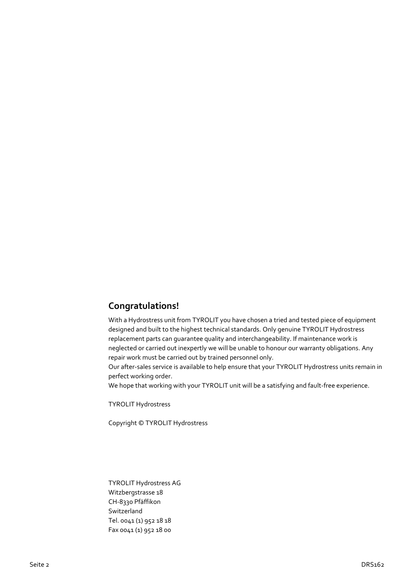## **Congratulations!**

With a Hydrostress unit from TYROLIT you have chosen a tried and tested piece of equipment designed and built to the highest technical standards. Only genuine TYROLIT Hydrostress replacement parts can guarantee quality and interchangeability. If maintenance work is neglected or carried out inexpertly we will be unable to honour our warranty obligations. Any repair work must be carried out by trained personnel only.

Our after-sales service is available to help ensure that your TYROLIT Hydrostress units remain in perfect working order.

We hope that working with your TYROLIT unit will be a satisfying and fault-free experience.

TYROLIT Hydrostress

Copyright © TYROLIT Hydrostress

TYROLIT Hydrostress AG Witzbergstrasse 18 CH-8330 Pfäffikon Switzerland Tel. 0041 (1) 952 18 18 Fax 0041 (1) 952 18 00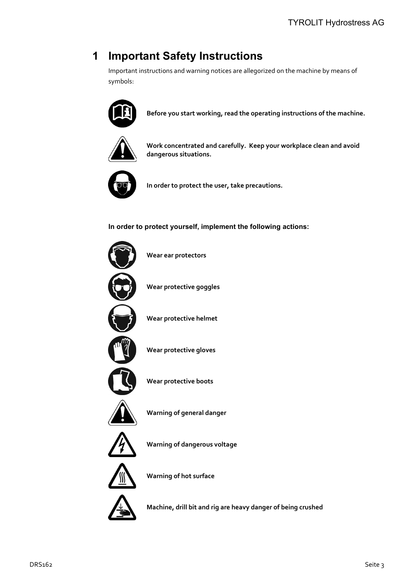## **1 Important Safety Instructions**

Important instructions and warning notices are allegorized on the machine by means of symbols:



**Before you start working, read the operating instructions of the machine.**



**Work concentrated and carefully. Keep your workplace clean and avoid dangerous situations.**



**In order to protect the user, take precautions.**

**In order to protect yourself, implement the following actions:**



**Machine, drill bit and rig are heavy danger of being crushed**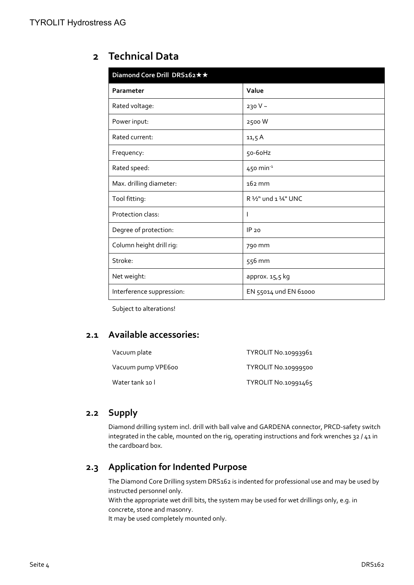## **2 Technical Data**

| Diamond Core Drill DRS162 * * |                       |  |
|-------------------------------|-----------------------|--|
| Parameter                     | Value                 |  |
| Rated voltage:                | 230 V ~               |  |
| Power input:                  | 2500W                 |  |
| Rated current:                | 11,5A                 |  |
| Frequency:                    | 50-60Hz               |  |
| Rated speed:                  | 450 min $^{-1}$       |  |
| Max. drilling diameter:       | $162$ mm              |  |
| Tool fitting:                 | R 1/2" und 1 1/4" UNC |  |
| Protection class:             |                       |  |
| Degree of protection:         | IP 20                 |  |
| Column height drill rig:      | 790 mm                |  |
| Stroke:                       | 556 mm                |  |
| Net weight:                   | approx. 15,5 kg       |  |
| Interference suppression:     | EN 55014 und EN 61000 |  |

Subject to alterations!

## **2.1 Available accessories:**

| Vacuum plate       | TYROLIT No.10993961 |
|--------------------|---------------------|
| Vacuum pump VPE600 | TYROLIT No.10999500 |
| Water tank 10 l    | TYROLIT No.10991465 |

## **2.2 Supply**

Diamond drilling system incl. drill with ball valve and GARDENA connector, PRCD-safety switch integrated in the cable, mounted on the rig, operating instructions and fork wrenches 32 / 41 in the cardboard box.

## **2.3 Application for Indented Purpose**

The Diamond Core Drilling system DRS162 is indented for professional use and may be used by instructed personnel only.

With the appropriate wet drill bits, the system may be used for wet drillings only, e.g. in concrete, stone and masonry.

It may be used completely mounted only.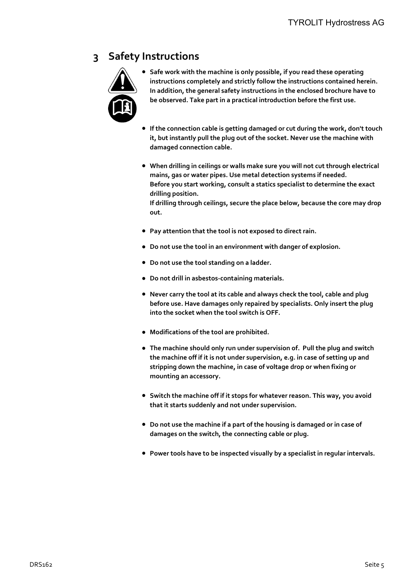## **3 Safety Instructions**



**● Safe work with the machine is only possible, if you read these operating instructions completely and strictly follow the instructions contained herein. In addition, the general safety instructions in the enclosed brochure have to be observed. Take part in a practical introduction before the first use.**

- **● If the connection cable is getting damaged or cut during the work, don't touch it, but instantly pull the plug out of the socket. Never use the machine with damaged connection cable.**
- **● When drilling in ceilings or walls make sure you will not cut through electrical mains, gas or water pipes. Use metal detection systems if needed. Before you start working, consult a statics specialist to determine the exact drilling position.**

**If drilling through ceilings, secure the place below, because the core may drop out.**

- **● Pay attention that the tool is not exposed to direct rain.**
- **● Do not use the tool in an environment with danger of explosion.**
- **● Do not use the tool standing on a ladder.**
- **● Do not drill in asbestos-containing materials.**
- **● Never carry the tool at its cable and always check the tool, cable and plug before use. Have damages only repaired by specialists. Only insert the plug into the socket when the tool switch is OFF.**
- **● Modifications of the tool are prohibited.**
- **● The machine should only run under supervision of. Pull the plug and switch the machine off if it is not under supervision, e.g. in case of setting up and stripping down the machine, in case of voltage drop or when fixing or mounting an accessory.**
- **● Switch the machine off if it stops for whatever reason. This way, you avoid that it starts suddenly and not under supervision.**
- **● Do not use the machine if a part of the housing is damaged or in case of damages on the switch, the connecting cable or plug.**
- **● Power tools have to be inspected visually by a specialist in regular intervals.**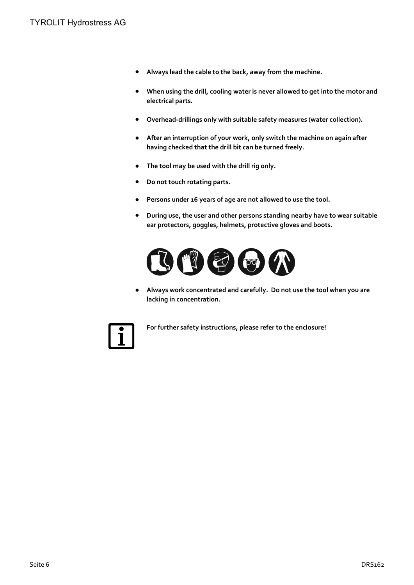- **● Always lead the cable to the back, away from the machine.**
- **● When using the drill, cooling water is never allowed to get into the motor and electrical parts.**
- **● Overhead-drillings only with suitable safety measures (water collection).**
- **● After an interruption of your work, only switch the machine on again after having checked that the drill bit can be turned freely.**
- **● The tool may be used with the drill rig only.**
- **● Do not touch rotating parts.**
- **● Persons under 16 years of age are not allowed to use the tool.**
- **● During use, the user and other persons standing nearby have to wear suitable ear protectors, goggles, helmets, protective gloves and boots.**



**● Always work concentrated and carefully. Do not use the tool when you are lacking in concentration.**



**For further safety instructions, please refer to the enclosure!**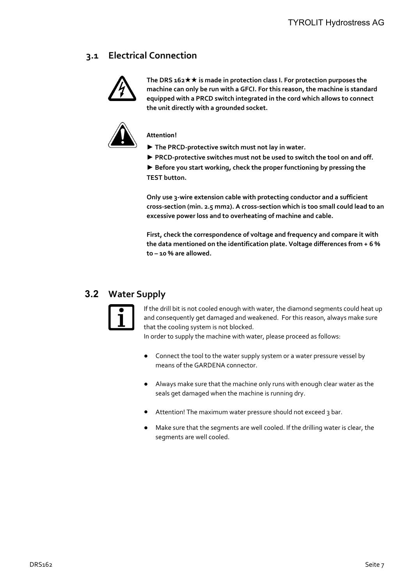## **3.1 Electrical Connection**



**The DRS 162 is made in protection class I. For protection purposes the machine can only be run with a GFCI. For this reason, the machine is standard equipped with a PRCD switch integrated in the cord which allows to connect the unit directly with a grounded socket.**



**Attention!**

**► The PRCD-protective switch must not lay in water.**

**► PRCD-protective switches must not be used to switch the tool on and off.**

**► Before you start working, check the proper functioning by pressing the TEST button.**

**Only use 3-wire extension cable with protecting conductor and a sufficient cross-section (min. 2.5 mm2). A cross-section which is too small could lead to an excessive power loss and to overheating of machine and cable.** 

**First, check the correspondence of voltage and frequency and compare it with the data mentioned on the identification plate. Voltage differences from + 6 % to – 10 % are allowed.**

## **3.2 Water Supply**



If the drill bit is not cooled enough with water, the diamond segments could heat up and consequently get damaged and weakened. For this reason, always make sure that the cooling system is not blocked.

In order to supply the machine with water, please proceed as follows:

- Connect the tool to the water supply system or a water pressure vessel by means of the GARDENA connector.
- **●** Always make sure that the machine only runs with enough clear water as the seals get damaged when the machine is running dry.
- **●** Attention! The maximum water pressure should not exceed 3 bar.
- Make sure that the segments are well cooled. If the drilling water is clear, the segments are well cooled.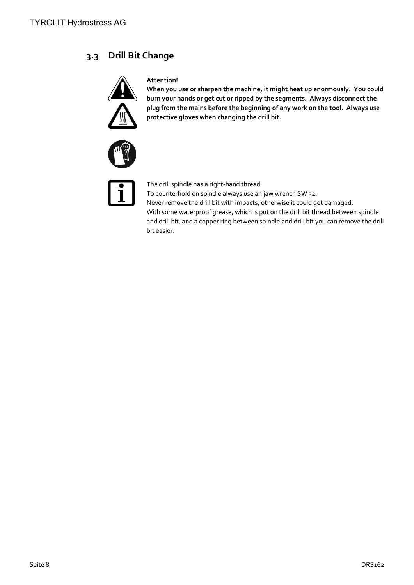## **3.3 Drill Bit Change**



#### **Attention!**

**When you use or sharpen the machine, it might heat up enormously. You could burn your hands or get cut or ripped by the segments. Always disconnect the plug from the mains before the beginning of any work on the tool. Always use protective gloves when changing the drill bit.**





The drill spindle has a right-hand thread. To counterhold on spindle always use an jaw wrench SW 32. Never remove the drill bit with impacts, otherwise it could get damaged. With some waterproof grease, which is put on the drill bit thread between spindle and drill bit, and a copper ring between spindle and drill bit you can remove the drill bit easier.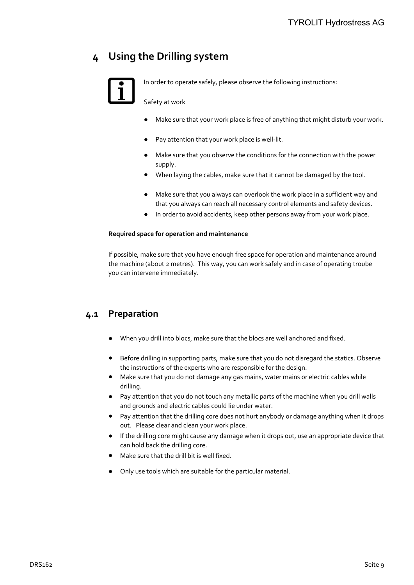## **4 Using the Drilling system**



In order to operate safely, please observe the following instructions:

Safety at work

- Make sure that your work place is free of anything that might disturb your work.
- Pay attention that your work place is well-lit.
- **●** Make sure that you observe the conditions for the connection with the power supply.
- **●** When laying the cables, make sure that it cannot be damaged by the tool.
- **●** Make sure that you always can overlook the work place in a sufficient way and that you always can reach all necessary control elements and safety devices.
- **●** In order to avoid accidents, keep other persons away from your work place.

#### **Required space for operation and maintenance**

If possible, make sure that you have enough free space for operation and maintenance around the machine (about 2 metres). This way, you can work safely and in case of operating troube you can intervene immediately.

## **4.1 Preparation**

- **●** When you drill into blocs, make sure that the blocs are well anchored and fixed.
- **●** Before drilling in supporting parts, make sure that you do not disregard the statics. Observe the instructions of the experts who are responsible for the design.
- **●** Make sure that you do not damage any gas mains, water mains or electric cables while drilling.
- **●** Pay attention that you do not touch any metallic parts of the machine when you drill walls and grounds and electric cables could lie under water.
- **●** Pay attention that the drilling core does not hurt anybody or damage anything when it drops out. Please clear and clean your work place.
- **●** If the drilling core might cause any damage when it drops out, use an appropriate device that can hold back the drilling core.
- **●** Make sure that the drill bit is well fixed.
- **●** Only use tools which are suitable for the particular material.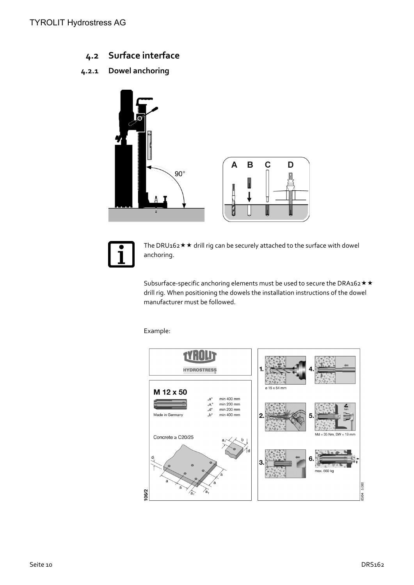**4.2 Surface interface**

### **4.2.1 Dowel anchoring**





The DRU162  $\star \star$  drill rig can be securely attached to the surface with dowel anchoring.

Subsurface-specific anchoring elements must be used to secure the DRA162  $\star$   $\star$ drill rig. When positioning the dowels the installation instructions of the dowel manufacturer must be followed.

Example:

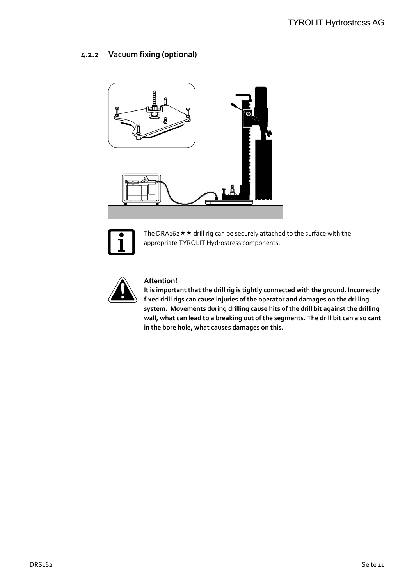#### **4.2.2 Vacuum fixing (optional)**





The DRA162  $\star \star$  drill rig can be securely attached to the surface with the appropriate TYROLIT Hydrostress components.



#### **Attention!**

**It is important that the drill rig is tightly connected with the ground. Incorrectly fixed drill rigs can cause injuries of the operator and damages on the drilling system. Movements during drilling cause hits of the drill bit against the drilling wall, what can lead to a breaking out of the segments. The drill bit can also cant in the bore hole, what causes damages on this.**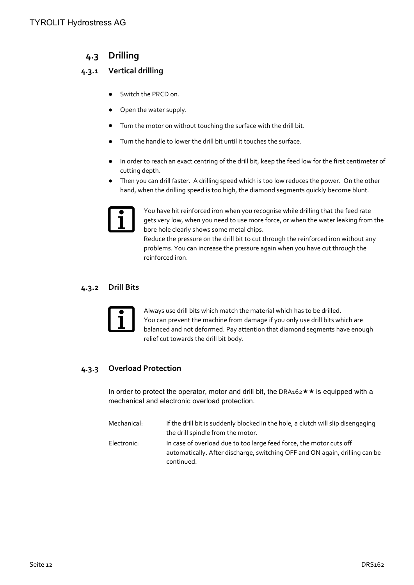## **4.3 Drilling**

### **4.3.1 Vertical drilling**

- **●** Switch the PRCD on.
- **●** Open the water supply.
- **●** Turn the motor on without touching the surface with the drill bit.
- **●** Turn the handle to lower the drill bit until it touches the surface.
- **●** In order to reach an exact centring of the drill bit, keep the feed low for the first centimeter of cutting depth.
- **●** Then you can drill faster. A drilling speed which is too low reduces the power. On the other hand, when the drilling speed is too high, the diamond segments quickly become blunt.



You have hit reinforced iron when you recognise while drilling that the feed rate gets very low, when you need to use more force, or when the water leaking from the bore hole clearly shows some metal chips.

Reduce the pressure on the drill bit to cut through the reinforced iron without any problems. You can increase the pressure again when you have cut through the reinforced iron.

#### **4.3.2 Drill Bits**



Always use drill bits which match the material which has to be drilled. You can prevent the machine from damage if you only use drill bits which are balanced and not deformed. Pay attention that diamond segments have enough relief cut towards the drill bit body.

### **4.3.3 Overload Protection**

In order to protect the operator, motor and drill bit, the DRA162  $\star \star$  is equipped with a mechanical and electronic overload protection.

| Mechanical: | If the drill bit is suddenly blocked in the hole, a clutch will slip disengaging |
|-------------|----------------------------------------------------------------------------------|
|             | the drill spindle from the motor.                                                |
| Electronic: | In case of overload due to too large feed force, the motor cuts off              |
|             | automatically. After discharge, switching OFF and ON again, drilling can be      |
|             | continued.                                                                       |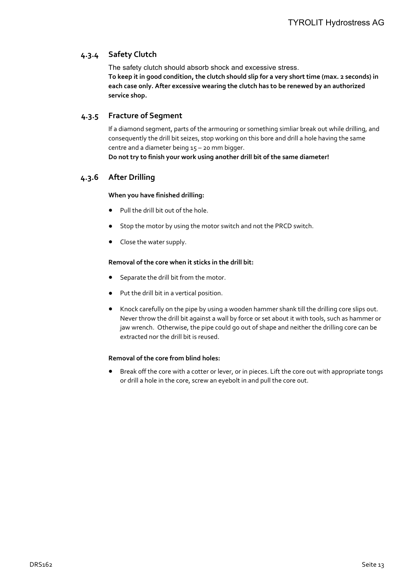#### **4.3.4 Safety Clutch**

The safety clutch should absorb shock and excessive stress. **To keep it in good condition, the clutch should slip for a very short time (max. 2 seconds) in each case only. After excessive wearing the clutch has to be renewed by an authorized service shop.**

#### **4.3.5 Fracture of Segment**

If a diamond segment, parts of the armouring or something simliar break out while drilling, and consequently the drill bit seizes, stop working on this bore and drill a hole having the same centre and a diameter being 15 – 20 mm bigger.

#### **Do not try to finish your work using another drill bit of the same diameter!**

#### **4.3.6 After Drilling**

#### **When you have finished drilling:**

- **●** Pull the drill bit out of the hole.
- **●** Stop the motor by using the motor switch and not the PRCD switch.
- **●** Close the water supply.

#### **Removal of the core when it sticks in the drill bit:**

- Separate the drill bit from the motor.
- **●** Put the drill bit in a vertical position.
- **●** Knock carefully on the pipe by using a wooden hammer shank till the drilling core slips out. Never throw the drill bit against a wall by force or set about it with tools, such as hammer or jaw wrench. Otherwise, the pipe could go out of shape and neither the drilling core can be extracted nor the drill bit is reused.

#### **Removal of the core from blind holes:**

**●** Break off the core with a cotter or lever, or in pieces. Lift the core out with appropriate tongs or drill a hole in the core, screw an eyebolt in and pull the core out.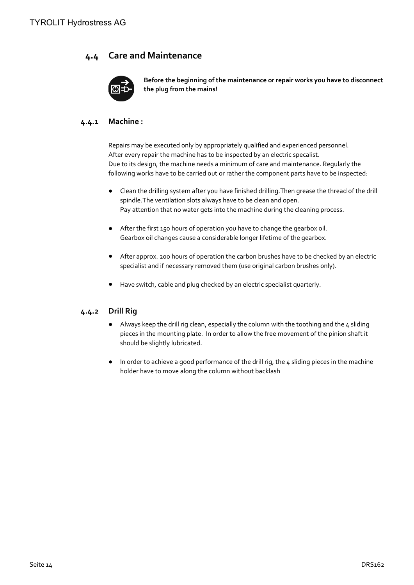### **4.4 Care and Maintenance**



**Before the beginning of the maintenance or repair works you have to disconnect the plug from the mains!**

#### **4.4.1 Machine :**

Repairs may be executed only by appropriately qualified and experienced personnel. After every repair the machine has to be inspected by an electric specalist. Due to its design, the machine needs a minimum of care and maintenance. Regularly the following works have to be carried out or rather the component parts have to be inspected:

- **●** Clean the drilling system after you have finished drilling.Then grease the thread of the drill spindle.The ventilation slots always have to be clean and open. Pay attention that no water gets into the machine during the cleaning process.
- **●** After the first 150 hours of operation you have to change the gearbox oil. Gearbox oil changes cause a considerable longer lifetime of the gearbox.
- **●** After approx. 200 hours of operation the carbon brushes have to be checked by an electric specialist and if necessary removed them (use original carbon brushes only).
- **●** Have switch, cable and plug checked by an electric specialist quarterly.

#### **4.4.2 Drill Rig**

- **●** Always keep the drill rig clean, especially the column with the toothing and the 4 sliding pieces in the mounting plate. In order to allow the free movement of the pinion shaft it should be slightly lubricated.
- **●** In order to achieve a good performance of the drill rig, the 4 sliding pieces in the machine holder have to move along the column without backlash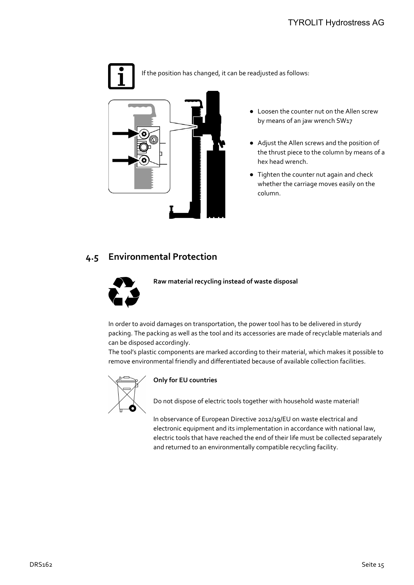### TYROLIT Hydrostress AG



If the position has changed, it can be readjusted as follows:



- **●** Loosen the counter nut on the Allen screw by means of an jaw wrench SW17
- **●** Adjust the Allen screws and the position of the thrust piece to the column by means of a hex head wrench.
- **●** Tighten the counter nut again and check whether the carriage moves easily on the column.

### **4.5 Environmental Protection**



**Raw material recycling instead of waste disposal**

In order to avoid damages on transportation, the power tool has to be delivered in sturdy packing. The packing as well as the tool and its accessories are made of recyclable materials and can be disposed accordingly.

The tool's plastic components are marked according to their material, which makes it possible to remove environmental friendly and differentiated because of available collection facilities.



#### **Only for EU countries**

Do not dispose of electric tools together with household waste material!

In observance of European Directive 2012/19/EU on waste electrical and electronic equipment and its implementation in accordance with national law, electric tools that have reached the end of their life must be collected separately and returned to an environmentally compatible recycling facility.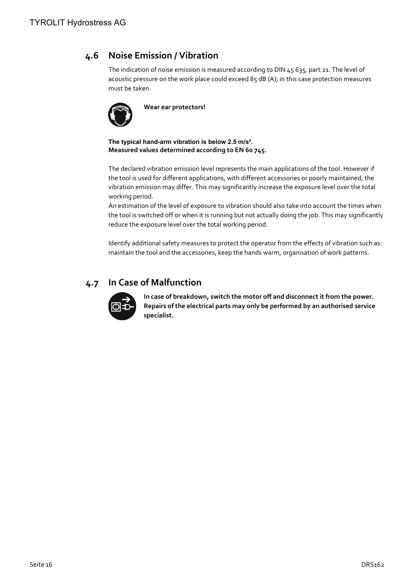## **4.6 Noise Emission / Vibration**

The indication of noise emission is measured according to DIN 45 635, part 21. The level of acoustic pressure on the work place could exceed 85 dB (A); in this case protection measures must be taken.



**Wear ear protectors!**

**The typical hand-arm vibration is below 2.5 m/s². Measured values determined according to EN 60 745.**

The declared vibration emission level represents the main applications of the tool. However if the tool is used for different applications, with different accessories or poorly maintained, the vibration emission may differ. This may significantly increase the exposure level over the total working period.

An estimation of the level of exposure to vibration should also take into account the times when the tool is switched off or when it is running but not actually doing the job. This may significantly reduce the exposure level over the total working period.

Identify additional safety measures to protect the operator from the effects of vibration such as: maintain the tool and the accessories, keep the hands warm, organisation of work patterns.

## **4.7 In Case of Malfunction**



**In case of breakdown, switch the motor off and disconnect it from the power. Repairs of the electrical parts may only be performed by an authorised service specialist.**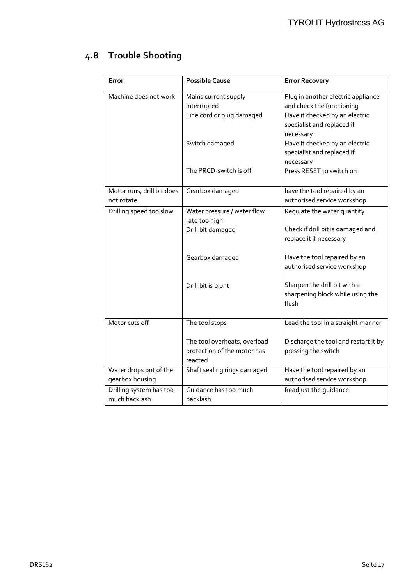## **4.8 Trouble Shooting**

| Error                                     | <b>Possible Cause</b>                                                  | <b>Error Recovery</b>                                                                                                                        |
|-------------------------------------------|------------------------------------------------------------------------|----------------------------------------------------------------------------------------------------------------------------------------------|
| Machine does not work                     | Mains current supply<br>interrupted<br>Line cord or plug damaged       | Plug in another electric appliance<br>and check the functioning<br>Have it checked by an electric<br>specialist and replaced if<br>necessary |
|                                           | Switch damaged                                                         | Have it checked by an electric<br>specialist and replaced if<br>necessary                                                                    |
|                                           | The PRCD-switch is off                                                 | Press RESET to switch on                                                                                                                     |
| Motor runs, drill bit does<br>not rotate  | Gearbox damaged                                                        | have the tool repaired by an<br>authorised service workshop                                                                                  |
| Drilling speed too slow                   | Water pressure / water flow<br>rate too high                           | Regulate the water quantity                                                                                                                  |
|                                           | Drill bit damaged                                                      | Check if drill bit is damaged and<br>replace it if necessary                                                                                 |
|                                           | Gearbox damaged                                                        | Have the tool repaired by an<br>authorised service workshop                                                                                  |
|                                           | Drill bit is blunt                                                     | Sharpen the drill bit with a<br>sharpening block while using the<br>flush                                                                    |
| Motor cuts off                            | The tool stops                                                         | Lead the tool in a straight manner                                                                                                           |
|                                           | The tool overheats, overload<br>protection of the motor has<br>reacted | Discharge the tool and restart it by<br>pressing the switch                                                                                  |
| Water drops out of the<br>gearbox housing | Shaft sealing rings damaged                                            | Have the tool repaired by an<br>authorised service workshop                                                                                  |
| Drilling system has too<br>much backlash  | Guidance has too much<br>backlash                                      | Readjust the guidance                                                                                                                        |